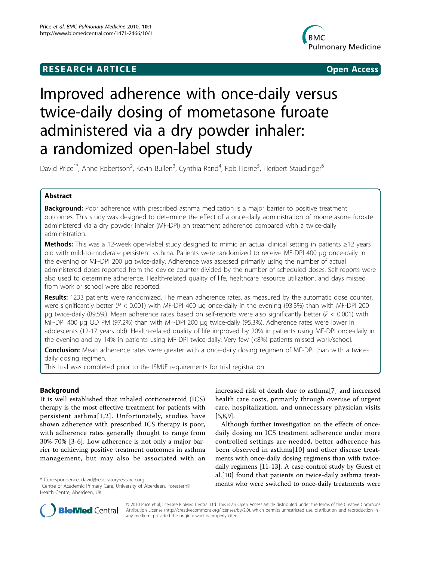## **RESEARCH ARTICLE Example 2018 12:00 DEAR Open Access**



# Improved adherence with once-daily versus twice-daily dosing of mometasone furoate administered via a dry powder inhaler: a randomized open-label study

David Price<sup>1\*</sup>, Anne Robertson<sup>2</sup>, Kevin Bullen<sup>3</sup>, Cynthia Rand<sup>4</sup>, Rob Horne<sup>5</sup>, Heribert Staudinger<sup>6</sup>

## Abstract

**Background:** Poor adherence with prescribed asthma medication is a major barrier to positive treatment outcomes. This study was designed to determine the effect of a once-daily administration of mometasone furoate administered via a dry powder inhaler (MF-DPI) on treatment adherence compared with a twice-daily administration.

Methods: This was a 12-week open-label study designed to mimic an actual clinical setting in patients ≥12 years old with mild-to-moderate persistent asthma. Patients were randomized to receive MF-DPI 400 μg once-daily in the evening or MF-DPI 200 μg twice-daily. Adherence was assessed primarily using the number of actual administered doses reported from the device counter divided by the number of scheduled doses. Self-reports were also used to determine adherence. Health-related quality of life, healthcare resource utilization, and days missed from work or school were also reported.

Results: 1233 patients were randomized. The mean adherence rates, as measured by the automatic dose counter, were significantly better ( $P < 0.001$ ) with MF-DPI 400 µg once-daily in the evening (93.3%) than with MF-DPI 200 μg twice-daily (89.5%). Mean adherence rates based on self-reports were also significantly better ( $P < 0.001$ ) with MF-DPI 400 μg QD PM (97.2%) than with MF-DPI 200 μg twice-daily (95.3%). Adherence rates were lower in adolescents (12-17 years old). Health-related quality of life improved by 20% in patients using MF-DPI once-daily in the evening and by 14% in patients using MF-DPI twice-daily. Very few (<8%) patients missed work/school.

Conclusion: Mean adherence rates were greater with a once-daily dosing regimen of MF-DPI than with a twicedaily dosing regimen.

This trial was completed prior to the ISMJE requirements for trial registration.

## Background

It is well established that inhaled corticosteroid (ICS) therapy is the most effective treatment for patients with persistent asthma[[1](#page-7-0),[2](#page-7-0)]. Unfortunately, studies have shown adherence with prescribed ICS therapy is poor, with adherence rates generally thought to range from 30%-70% [[3-6](#page-7-0)]. Low adherence is not only a major barrier to achieving positive treatment outcomes in asthma management, but may also be associated with an

increased risk of death due to asthma[[7\]](#page-7-0) and increased health care costs, primarily through overuse of urgent care, hospitalization, and unnecessary physician visits [[5,8,9\]](#page-7-0).

Although further investigation on the effects of oncedaily dosing on ICS treatment adherence under more controlled settings are needed, better adherence has been observed in asthma[[10\]](#page-7-0) and other disease treatments with once-daily dosing regimens than with twicedaily regimens [[11](#page-7-0)-[13\]](#page-7-0). A case-control study by Guest et al.[[10\]](#page-7-0) found that patients on twice-daily asthma treat\* Correspondence: [david@respiratoryresearch.org](mailto:david@respiratoryresearch.org)<br><sup>1</sup>Centre of Academic Primary Care University of Aberdeen Egrectarbill<br>**1Centre of Academic Primary Care University of Aberdeen Egrectarbill ments who were switched to once** 



© 2010 Price et al; licensee BioMed Central Ltd. This is an Open Access article distributed under the terms of the Creative Commons Attribution License [\(http://creativecommons.org/licenses/by/2.0](http://creativecommons.org/licenses/by/2.0)), which permits unrestricted use, distribution, and reproduction in any medium, provided the original work is properly cited.

<sup>&</sup>lt;sup>1</sup>Centre of Academic Primary Care, University of Aberdeen, Foresterhill Health Centre, Aberdeen, UK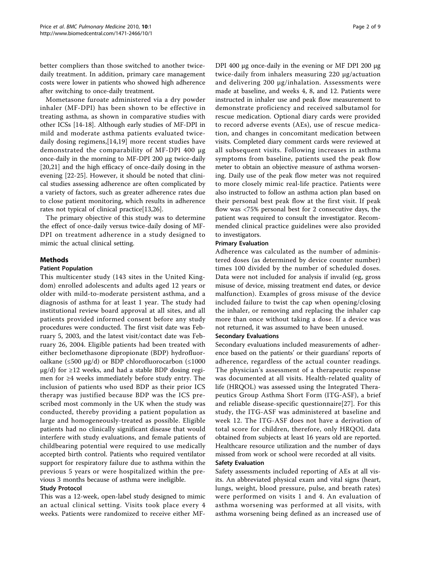better compliers than those switched to another twicedaily treatment. In addition, primary care management costs were lower in patients who showed high adherence after switching to once-daily treatment.

Mometasone furoate administered via a dry powder inhaler (MF-DPI) has been shown to be effective in treating asthma, as shown in comparative studies with other ICSs [[14-18\]](#page-7-0). Although early studies of MF-DPI in mild and moderate asthma patients evaluated twicedaily dosing regimens,[[14,19](#page-7-0)] more recent studies have demonstrated the comparability of MF-DPI 400 μg once-daily in the morning to MF-DPI 200 μg twice-daily [[20,21\]](#page-7-0) and the high efficacy of once-daily dosing in the evening [[22-](#page-7-0)[25](#page-8-0)]. However, it should be noted that clinical studies assessing adherence are often complicated by a variety of factors, such as greater adherence rates due to close patient monitoring, which results in adherence rates not typical of clinical practice[\[13](#page-7-0)[,26\]](#page-8-0).

The primary objective of this study was to determine the effect of once-daily versus twice-daily dosing of MF-DPI on treatment adherence in a study designed to mimic the actual clinical setting.

## Methods

#### Patient Population

This multicenter study (143 sites in the United Kingdom) enrolled adolescents and adults aged 12 years or older with mild-to-moderate persistent asthma, and a diagnosis of asthma for at least 1 year. The study had institutional review board approval at all sites, and all patients provided informed consent before any study procedures were conducted. The first visit date was February 5, 2003, and the latest visit/contact date was February 26, 2004. Eligible patients had been treated with either beclomethasone dipropionate (BDP) hydrofluoroalkane (≤500 μg/d) or BDP chlorofluorocarbon (≤1000  $\mu$ g/d) for ≥12 weeks, and had a stable BDP dosing regimen for ≥4 weeks immediately before study entry. The inclusion of patients who used BDP as their prior ICS therapy was justified because BDP was the ICS prescribed most commonly in the UK when the study was conducted, thereby providing a patient population as large and homogeneously-treated as possible. Eligible patients had no clinically significant disease that would interfere with study evaluations, and female patients of childbearing potential were required to use medically accepted birth control. Patients who required ventilator support for respiratory failure due to asthma within the previous 5 years or were hospitalized within the previous 3 months because of asthma were ineligible.

## Study Protocol

This was a 12-week, open-label study designed to mimic an actual clinical setting. Visits took place every 4 weeks. Patients were randomized to receive either MF-

DPI 400 μg once-daily in the evening or MF DPI 200 μg twice-daily from inhalers measuring 220 μg/actuation and delivering 200 μg/inhalation. Assessments were made at baseline, and weeks 4, 8, and 12. Patients were instructed in inhaler use and peak flow measurement to demonstrate proficiency and received salbutamol for rescue medication. Optional diary cards were provided to record adverse events (AEs), use of rescue medication, and changes in concomitant medication between visits. Completed diary comment cards were reviewed at all subsequent visits. Following increases in asthma symptoms from baseline, patients used the peak flow meter to obtain an objective measure of asthma worsening. Daily use of the peak flow meter was not required to more closely mimic real-life practice. Patients were also instructed to follow an asthma action plan based on their personal best peak flow at the first visit. If peak flow was <75% personal best for 2 consecutive days, the patient was required to consult the investigator. Recommended clinical practice guidelines were also provided to investigators.

#### Primary Evaluation

Adherence was calculated as the number of administered doses (as determined by device counter number) times 100 divided by the number of scheduled doses. Data were not included for analysis if invalid (eg, gross misuse of device, missing treatment end dates, or device malfunction). Examples of gross misuse of the device included failure to twist the cap when opening/closing the inhaler, or removing and replacing the inhaler cap more than once without taking a dose. If a device was not returned, it was assumed to have been unused.

#### Secondary Evaluations

Secondary evaluations included measurements of adherence based on the patients' or their guardians' reports of adherence, regardless of the actual counter readings. The physician's assessment of a therapeutic response was documented at all visits. Health-related quality of life (HRQOL) was assessed using the Integrated Therapeutics Group Asthma Short Form (ITG-ASF), a brief and reliable disease-specific questionnaire[\[27\]](#page-8-0). For this study, the ITG-ASF was administered at baseline and week 12. The ITG-ASF does not have a derivation of total score for children, therefore, only HRQOL data obtained from subjects at least 16 years old are reported. Healthcare resource utilization and the number of days missed from work or school were recorded at all visits. Safety Evaluation

Safety assessments included reporting of AEs at all visits. An abbreviated physical exam and vital signs (heart, lungs, weight, blood pressure, pulse, and breath rates) were performed on visits 1 and 4. An evaluation of asthma worsening was performed at all visits, with asthma worsening being defined as an increased use of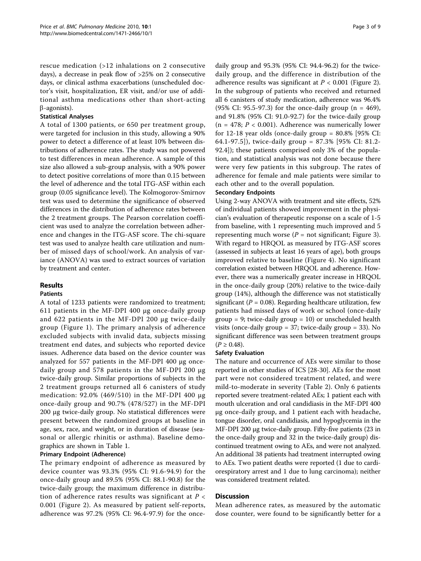rescue medication (>12 inhalations on 2 consecutive days), a decrease in peak flow of >25% on 2 consecutive days, or clinical asthma exacerbations (unscheduled doctor's visit, hospitalization, ER visit, and/or use of additional asthma medications other than short-acting  $\beta$ -agonists).

## Statistical Analyses

A total of 1300 patients, or 650 per treatment group, were targeted for inclusion in this study, allowing a 90% power to detect a difference of at least 10% between distributions of adherence rates. The study was not powered to test differences in mean adherence. A sample of this size also allowed a sub-group analysis, with a 90% power to detect positive correlations of more than 0.15 between the level of adherence and the total ITG-ASF within each group (0.05 significance level). The Kolmogorov-Smirnov test was used to determine the significance of observed differences in the distribution of adherence rates between the 2 treatment groups. The Pearson correlation coefficient was used to analyze the correlation between adherence and changes in the ITG-ASF score. The chi-square test was used to analyze health care utilization and number of missed days of school/work. An analysis of variance (ANOVA) was used to extract sources of variation by treatment and center.

## Results

## Patients

A total of 1233 patients were randomized to treatment; 611 patients in the MF-DPI 400 μg once-daily group and 622 patients in the MF-DPI 200 μg twice-daily group (Figure [1\)](#page-3-0). The primary analysis of adherence excluded subjects with invalid data, subjects missing treatment end dates, and subjects who reported device issues. Adherence data based on the device counter was analyzed for 557 patients in the MF-DPI 400 μg oncedaily group and 578 patients in the MF-DPI 200 μg twice-daily group. Similar proportions of subjects in the 2 treatment groups returned all 6 canisters of study medication: 92.0% (469/510) in the MF-DPI 400 μg once-daily group and 90.7% (478/527) in the MF-DPI 200 μg twice-daily group. No statistical differences were present between the randomized groups at baseline in age, sex, race, and weight, or in duration of disease (seasonal or allergic rhinitis or asthma). Baseline demographics are shown in Table [1](#page-4-0).

## Primary Endpoint (Adherence)

The primary endpoint of adherence as measured by device counter was 93.3% (95% CI: 91.6-94.9) for the once-daily group and 89.5% (95% CI: 88.1-90.8) for the twice-daily group; the maximum difference in distribution of adherence rates results was significant at  $P <$ 0.001 (Figure [2\)](#page-4-0). As measured by patient self-reports, adherence was 97.2% (95% CI: 96.4-97.9) for the oncedaily group and 95.3% (95% CI: 94.4-96.2) for the twicedaily group, and the difference in distribution of the adherence results was significant at  $P < 0.001$  (Figure [2](#page-4-0)). In the subgroup of patients who received and returned all 6 canisters of study medication, adherence was 96.4% (95% CI: 95.5-97.3) for the once-daily group  $(n = 469)$ , and 91.8% (95% CI: 91.0-92.7) for the twice-daily group  $(n = 478; P < 0.001)$ . Adherence was numerically lower for 12-18 year olds (once-daily group  $= 80.8\%$  [95% CI: 64.1-97.5]), twice-daily group = 87.3% [95% CI: 81.2- 92.4]); these patients comprised only 3% of the population, and statistical analysis was not done because there were very few patients in this subgroup. The rates of adherence for female and male patients were similar to each other and to the overall population.

#### Secondary Endpoints

Using 2-way ANOVA with treatment and site effects, 52% of individual patients showed improvement in the physician's evaluation of therapeutic response on a scale of 1-5 from baseline, with 1 representing much improved and 5 representing much worse ( $P =$  not significant; Figure [3](#page-5-0)). With regard to HRQOL as measured by ITG-ASF scores (assessed in subjects at least 16 years of age), both groups improved relative to baseline (Figure [4\)](#page-6-0). No significant correlation existed between HRQOL and adherence. However, there was a numerically greater increase in HRQOL in the once-daily group (20%) relative to the twice-daily group (14%), although the difference was not statistically significant ( $P = 0.08$ ). Regarding healthcare utilization, few patients had missed days of work or school (once-daily  $group = 9$ ; twice-daily  $group = 10$ ) or unscheduled health visits (once-daily group = 37; twice-daily group = 33). No significant difference was seen between treatment groups  $(P \ge 0.48)$ .

## Safety Evaluation

The nature and occurrence of AEs were similar to those reported in other studies of ICS [[28-30\]](#page-8-0). AEs for the most part were not considered treatment related, and were mild-to-moderate in severity (Table [2\)](#page-6-0). Only 6 patients reported severe treatment-related AEs; 1 patient each with mouth ulceration and oral candidiasis in the MF-DPI 400 μg once-daily group, and 1 patient each with headache, tongue disorder, oral candidiasis, and hypoglycemia in the MF-DPI 200 μg twice-daily group. Fifty-five patients (23 in the once-daily group and 32 in the twice-daily group) discontinued treatment owing to AEs, and were not analyzed. An additional 38 patients had treatment interrupted owing to AEs. Two patient deaths were reported (1 due to cardiorespiratory arrest and 1 due to lung carcinoma); neither was considered treatment related.

## **Discussion**

Mean adherence rates, as measured by the automatic dose counter, were found to be significantly better for a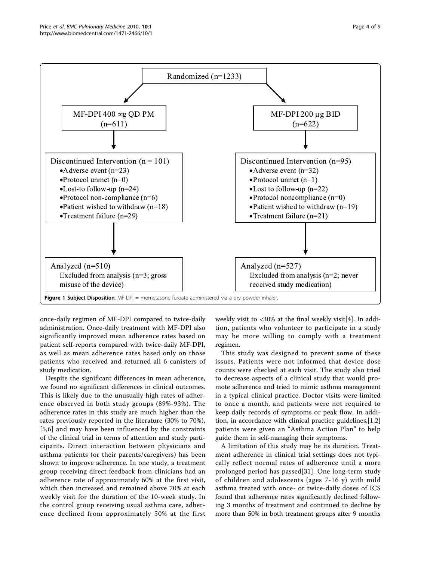<span id="page-3-0"></span>

once-daily regimen of MF-DPI compared to twice-daily administration. Once-daily treatment with MF-DPI also significantly improved mean adherence rates based on patient self-reports compared with twice-daily MF-DPI, as well as mean adherence rates based only on those patients who received and returned all 6 canisters of study medication.

Despite the significant differences in mean adherence, we found no significant differences in clinical outcomes. This is likely due to the unusually high rates of adherence observed in both study groups (89%-93%). The adherence rates in this study are much higher than the rates previously reported in the literature (30% to 70%), [[5,6\]](#page-7-0) and may have been influenced by the constraints of the clinical trial in terms of attention and study participants. Direct interaction between physicians and asthma patients (or their parents/caregivers) has been shown to improve adherence. In one study, a treatment group receiving direct feedback from clinicians had an adherence rate of approximately 60% at the first visit, which then increased and remained above 70% at each weekly visit for the duration of the 10-week study. In the control group receiving usual asthma care, adherence declined from approximately 50% at the first

weekly visit to <30% at the final weekly visit[[4\]](#page-7-0). In addition, patients who volunteer to participate in a study may be more willing to comply with a treatment regimen.

This study was designed to prevent some of these issues. Patients were not informed that device dose counts were checked at each visit. The study also tried to decrease aspects of a clinical study that would promote adherence and tried to mimic asthma management in a typical clinical practice. Doctor visits were limited to once a month, and patients were not required to keep daily records of symptoms or peak flow. In addition, in accordance with clinical practice guidelines,[\[1,2](#page-7-0)] patients were given an "Asthma Action Plan" to help guide them in self-managing their symptoms.

A limitation of this study may be its duration. Treatment adherence in clinical trial settings does not typically reflect normal rates of adherence until a more prolonged period has passed[[31](#page-8-0)]. One long-term study of children and adolescents (ages 7-16 y) with mild asthma treated with once- or twice-daily doses of ICS found that adherence rates significantly declined following 3 months of treatment and continued to decline by more than 50% in both treatment groups after 9 months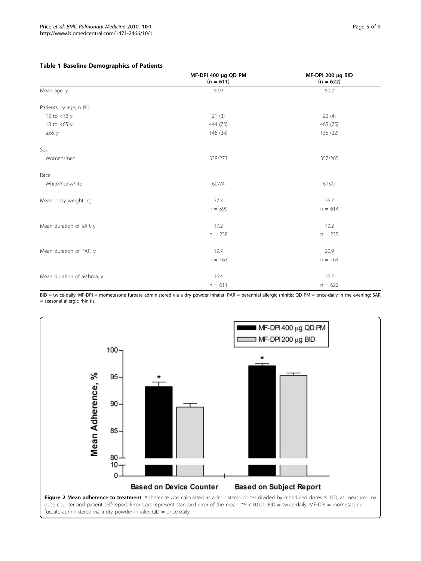#### <span id="page-4-0"></span>Table 1 Baseline Demographics of Patients

|                            | MF-DPI 400 µg QD PM<br>$(n = 611)$ | MF-DPI 200 µg BID<br>$(n = 622)$ |
|----------------------------|------------------------------------|----------------------------------|
| Mean age, y                | 50.9                               | 50.2                             |
| Patients by age, n (%)     |                                    |                                  |
| 12 to $<$ 18 y             | 21(3)                              | 22(4)                            |
| 18 to $<$ 65 y             | 444 (73)                           | 465 (75)                         |
| $\geq 65$ y                | 146 (24)                           | 135 (22)                         |
| Sex                        |                                    |                                  |
| Women/men                  | 338/273                            | 357/265                          |
| Race                       |                                    |                                  |
| White/nonwhite             | 607/4                              | 615/7                            |
| Mean body weight, kg       | 77.3                               | 76.7                             |
|                            | $n = 599$                          | $n = 614$                        |
| Mean duration of SAR, y    | 17.2                               | 19.2                             |
|                            | $n = 238$                          | $n = 235$                        |
| Mean duration of PAR, y    | 19.7                               | 20.9                             |
|                            | $n = 163$                          | $n = 164$                        |
| Mean duration of asthma, y | 16.4                               | 16.2                             |
|                            | $n = 611$                          | $n = 622$                        |

BID = twice-daily; MF-DPI = mometasone furoate administered via a dry powder inhaler; PAR = perennial allergic rhinitis; QD PM = once-daily in the evening; SAR = seasonal allergic rhinitis.

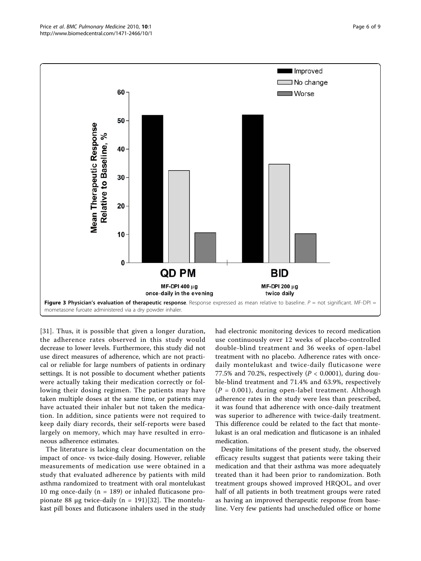<span id="page-5-0"></span>

[[31](#page-8-0)]. Thus, it is possible that given a longer duration, the adherence rates observed in this study would decrease to lower levels. Furthermore, this study did not use direct measures of adherence, which are not practical or reliable for large numbers of patients in ordinary settings. It is not possible to document whether patients were actually taking their medication correctly or following their dosing regimen. The patients may have taken multiple doses at the same time, or patients may have actuated their inhaler but not taken the medication. In addition, since patients were not required to keep daily diary records, their self-reports were based largely on memory, which may have resulted in erroneous adherence estimates.

The literature is lacking clear documentation on the impact of once- vs twice-daily dosing. However, reliable measurements of medication use were obtained in a study that evaluated adherence by patients with mild asthma randomized to treatment with oral montelukast 10 mg once-daily ( $n = 189$ ) or inhaled fluticasone pro-pionate 88 μg twice-daily (n = 191)[[32](#page-8-0)]. The montelukast pill boxes and fluticasone inhalers used in the study had electronic monitoring devices to record medication use continuously over 12 weeks of placebo-controlled double-blind treatment and 36 weeks of open-label treatment with no placebo. Adherence rates with oncedaily montelukast and twice-daily fluticasone were 77.5% and 70.2%, respectively ( $P < 0.0001$ ), during double-blind treatment and 71.4% and 63.9%, respectively  $(P = 0.001)$ , during open-label treatment. Although adherence rates in the study were less than prescribed, it was found that adherence with once-daily treatment was superior to adherence with twice-daily treatment. This difference could be related to the fact that montelukast is an oral medication and fluticasone is an inhaled medication.

Despite limitations of the present study, the observed efficacy results suggest that patients were taking their medication and that their asthma was more adequately treated than it had been prior to randomization. Both treatment groups showed improved HRQOL, and over half of all patients in both treatment groups were rated as having an improved therapeutic response from baseline. Very few patients had unscheduled office or home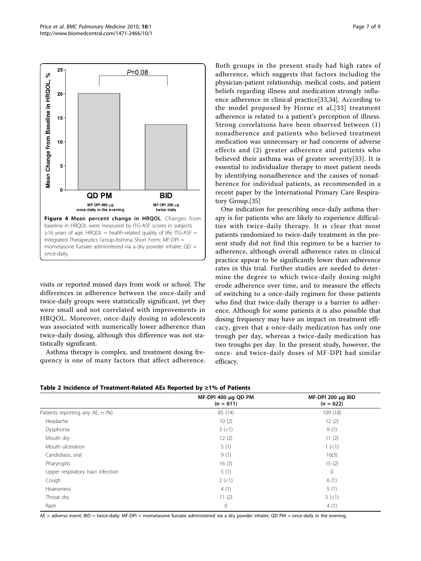<span id="page-6-0"></span>

visits or reported missed days from work or school. The differences in adherence between the once-daily and twice-daily groups were statistically significant, yet they were small and not correlated with improvements in HRQOL. Moreover, once-daily dosing in adolescents was associated with numerically lower adherence than twice-daily dosing, although this difference was not statistically significant.

Asthma therapy is complex, and treatment dosing frequency is one of many factors that affect adherence. Both groups in the present study had high rates of adherence, which suggests that factors including the physician-patient relationship, medical costs, and patient beliefs regarding illness and medication strongly influence adherence in clinical practice[[33,34\]](#page-8-0). According to the model proposed by Horne et al,[[33\]](#page-8-0) treatment adherence is related to a patient's perception of illness. Strong correlations have been observed between (1) nonadherence and patients who believed treatment medication was unnecessary or had concerns of adverse effects and (2) greater adherence and patients who believed their asthma was of greater severity[[33](#page-8-0)]. It is essential to individualize therapy to meet patient needs by identifying nonadherence and the causes of nonadherence for individual patients, as recommended in a recent paper by the International Primary Care Respiratory Group.[[35\]](#page-8-0)

One indication for prescribing once-daily asthma therapy is for patients who are likely to experience difficulties with twice-daily therapy. It is clear that most patients randomized to twice-daily treatment in the present study did not find this regimen to be a barrier to adherence, although overall adherence rates in clinical practice appear to be significantly lower than adherence rates in this trial. Further studies are needed to determine the degree to which twice-daily dosing might erode adherence over time, and to measure the effects of switching to a once-daily regimen for those patients who find that twice-daily therapy is a barrier to adherence. Although for some patients it is also possible that dosing frequency may have an impact on treatment efficacy, given that a once-daily medication has only one trough per day, whereas a twice-daily medication has two troughs per day. In the present study, however, the once- and twice-daily doses of MF-DPI had similar efficacy.

Table 2 Incidence of Treatment-Related AEs Reported by ≥1% of Patients

|                                   | MF-DPI 400 µg QD PM<br>$(n = 611)$ | MF-DPI 200 µg BID<br>$(n = 622)$ |
|-----------------------------------|------------------------------------|----------------------------------|
| Patients reporting any AE, n (%)  | 85 (14)                            | 109 (18)                         |
| Headache                          | 10(2)                              | 12(2)                            |
| Dysphonia                         | 3(<1)                              | 9(1)                             |
| Mouth dry                         | 12(2)                              | 11(2)                            |
| Mouth ulceration                  | 5(1)                               | 1 (< 1)                          |
| Candidiasis, oral                 | 9(1)                               | 16(3)                            |
| Pharyngitis                       | 16(3)                              | 15(2)                            |
| Upper respiratory tract infection | 5(1)                               | $\mathbf{0}$                     |
| Cough                             | $2$ (<1)                           | 6(1)                             |
| Hoarseness                        | 4(1)                               | 5(1)                             |
| Throat dry                        | 11(2)                              | 3(<1)                            |
| Rash                              | $\mathbf 0$                        | 4(1)                             |

AE = adverse event; BID = twice-daily; MF-DPI = mometasone furoate administered via a dry powder inhaler; QD PM = once-daily in the evening.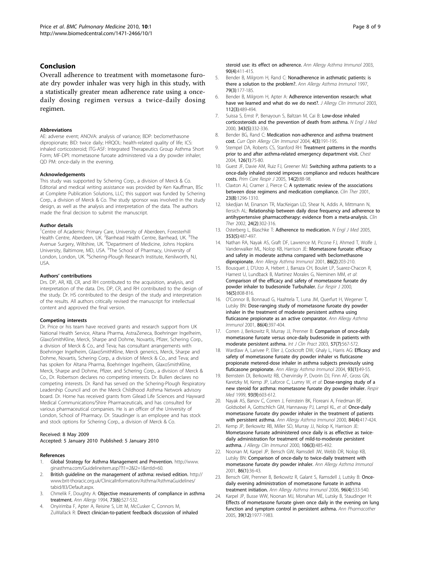#### <span id="page-7-0"></span>Conclusion

Overall adherence to treatment with mometasone furoate dry powder inhaler was very high in this study, with a statistically greater mean adherence rate using a oncedaily dosing regimen versus a twice-daily dosing regimen.

#### Abbreviations

AE: adverse event; ANOVA: analysis of variance; BDP: beclomethasone dipropionate; BID: twice daily; HRQOL: health-related quality of life; ICS: inhaled corticosteroid; ITG-ASF: Integrated Therapeutics Group Asthma Short Form; MF-DPI: mometasone furoate administered via a dry powder inhaler; QD PM: once-daily in the evening.

#### Acknowledgements

This study was supported by Schering Corp., a division of Merck & Co. Editorial and medical writing assistance was provided by Ken Kauffman, BSc at Complete Publication Solutions, LLC; this support was funded by Schering Corp., a division of Merck & Co. The study sponsor was involved in the study design, as well as the analysis and interpretation of the data. The authors made the final decision to submit the manuscript.

#### Author details

<sup>1</sup>Centre of Academic Primary Care, University of Aberdeen, Foresterhill Health Centre, Aberdeen, UK. <sup>2</sup>Barrhead Health Centre, Barrhead, UK. <sup>3</sup>The Avenue Surgery, Wiltshire, UK. <sup>4</sup>Department of Medicine, Johns Hopkins University, Baltimore, MD, USA. <sup>5</sup>The School of Pharmacy, University of London, London, UK. <sup>6</sup>Schering-Plough Research Institute, Kenilworth, NJ, USA.

#### Authors' contributions

Drs. DP, AR, KB, CR, and RH contributed to the acquisition, analysis, and interpretation of the data. Drs. DP, CR, and RH contributed to the design of the study. Dr. HS contributed to the design of the study and interpretation of the results. All authors critically revised the manuscript for intellectual content and approved the final version.

#### Competing interests

Dr. Price or his team have received grants and research support from UK National Health Service, Altana Pharma, AstraZeneca, Boehringer Ingelheim, GlaxoSmithKline, Merck, Sharpe and Dohme, Novartis, Pfizer, Schering Corp., a division of Merck & Co., and Teva; has consultant arrangements with Boehringer Ingelheim, GlaxoSmithKline, Merck generics, Merck, Sharpe and Dohme, Novartis, Schering Corp., a division of Merck & Co., and Teva; and has spoken for Altana Pharma, Boehringer Ingelheim, GlaxoSmithKline, Merck, Sharpe and Dohme, Pfizer, and Schering Corp., a division of Merck & Co., Dr. Robertson declares no competing interests. Dr. Bullen declares no competing interests. Dr. Rand has served on the Schering-Plough Respiratory Leadership Council and on the Merck Childhood Asthma Network advisory board. Dr. Horne has received grants from Gilead Life Sciences and Hayward Medical Communications/Shire Pharmaceuticals, and has consulted for various pharmaceutical companies. He is an officer of the University of London, School of Pharmacy. Dr. Staudinger is an employee and has stock and stock options for Schering Corp., a division of Merck & Co.

#### Received: 8 May 2009

Accepted: 5 January 2010 Published: 5 January 2010

#### References

- Global Strategy for Asthma Management and Prevention. [http://www.](http://www.ginasthma.com/Guidelineitem.asp??l1=2&l2=1&intId=60) [ginasthma.com/Guidelineitem.asp??l1=2&l2=1&intId=60.](http://www.ginasthma.com/Guidelineitem.asp??l1=2&l2=1&intId=60)
- 2. British guideline on the management of asthma: revised edition. [http://](http://www.brit-thoracic.org.uk/ClinicalInformation/Asthma/AsthmaGuidelines/tabid/83/Default.aspx) [www.brit-thoracic.org.uk/ClinicalInformation/Asthma/AsthmaGuidelines/](http://www.brit-thoracic.org.uk/ClinicalInformation/Asthma/AsthmaGuidelines/tabid/83/Default.aspx) [tabid/83/Default.aspx.](http://www.brit-thoracic.org.uk/ClinicalInformation/Asthma/AsthmaGuidelines/tabid/83/Default.aspx)
- 3. Chmelik F, Doughty A: [Objective measurements of compliance in asthma](http://www.ncbi.nlm.nih.gov/pubmed/7998669?dopt=Abstract) [treatment.](http://www.ncbi.nlm.nih.gov/pubmed/7998669?dopt=Abstract) Ann Allergy 1994, 73(6):527-532.
- 4. Onyirimba F, Apter A, Reisine S, Litt M, McCusker C, Connors M, ZuWallack R: [Direct clinician-to-patient feedback discussion of inhaled](http://www.ncbi.nlm.nih.gov/pubmed/12722963?dopt=Abstract)

[steroid use: its effect on adherence.](http://www.ncbi.nlm.nih.gov/pubmed/12722963?dopt=Abstract) Ann Alleray Asthma Immunol 2003. 90(4):411-415.

- 5. Bender B, Milgrom H, Rand C: [Nonadherence in asthmatic patients: is](http://www.ncbi.nlm.nih.gov/pubmed/9305223?dopt=Abstract) [there a solution to the problem?.](http://www.ncbi.nlm.nih.gov/pubmed/9305223?dopt=Abstract) Ann Allergy Asthma Immunol 1997, 79(3):177-185.
- Bender B, Milgrom H, Apter A: [Adherence intervention research: what](http://www.ncbi.nlm.nih.gov/pubmed/13679805?dopt=Abstract) [have we learned and what do we do next?.](http://www.ncbi.nlm.nih.gov/pubmed/13679805?dopt=Abstract) J Allergy Clin Immunol 2003, 112(3):489-494.
- 7. Suissa S, Ernst P, Benayoun S, Baltzan M, Cai B: [Low-dose inhaled](http://www.ncbi.nlm.nih.gov/pubmed/10922423?dopt=Abstract) [corticosteroids and the prevention of death from asthma.](http://www.ncbi.nlm.nih.gov/pubmed/10922423?dopt=Abstract) N Engl J Med 2000, 343(5):332-336.
- 8. Bender BG, Rand C: [Medication non-adherence and asthma treatment](http://www.ncbi.nlm.nih.gov/pubmed/15126940?dopt=Abstract) [cost.](http://www.ncbi.nlm.nih.gov/pubmed/15126940?dopt=Abstract) Curr Opin Allergy Clin Immunol 2004, 4(3):191-195.
- 9. Stempel DA, Roberts CS, Stanford RH: [Treatment patterns in the months](http://www.ncbi.nlm.nih.gov/pubmed/15249445?dopt=Abstract) [prior to and after asthma-related emergency department visit.](http://www.ncbi.nlm.nih.gov/pubmed/15249445?dopt=Abstract) Chest 2004, 126(1):75-80.
- 10. Guest JF, Davie AM, Ruiz FJ, Greener MJ: [Switching asthma patients to a](http://www.ncbi.nlm.nih.gov/pubmed/16701704?dopt=Abstract) [once-daily inhaled steroid improves compliance and reduces healthcare](http://www.ncbi.nlm.nih.gov/pubmed/16701704?dopt=Abstract) [costs.](http://www.ncbi.nlm.nih.gov/pubmed/16701704?dopt=Abstract) Prim Care Respir J 2005, 14(2):88-98.
- 11. Claxton AJ, Cramer J, Pierce C: [A systematic review of the associations](http://www.ncbi.nlm.nih.gov/pubmed/11558866?dopt=Abstract) [between dose regimens and medication compliance.](http://www.ncbi.nlm.nih.gov/pubmed/11558866?dopt=Abstract) Clin Ther 2001, 23(8):1296-1310.
- 12. Iskedjian M, Einarson TR, MacKeigan LD, Shear N, Addis A, Mittmann N, Ilersich AL: [Relationship between daily dose frequency and adherence to](http://www.ncbi.nlm.nih.gov/pubmed/11911560?dopt=Abstract) [antihypertensive pharmacotherapy: evidence from a meta-analysis.](http://www.ncbi.nlm.nih.gov/pubmed/11911560?dopt=Abstract) Clin Ther 2002, 24(2):302-316.
- 13. Osterberg L, Blaschke T: [Adherence to medication.](http://www.ncbi.nlm.nih.gov/pubmed/16079372?dopt=Abstract) N Engl J Med 2005, 353(5):487-497.
- 14. Nathan RA, Nayak AS, Graft DF, Lawrence M, Picone FJ, Ahmed T, Wolfe J, Vanderwalker ML, Nolop KB, Harrison JE: [Mometasone furoate: efficacy](http://www.ncbi.nlm.nih.gov/pubmed/11258691?dopt=Abstract) [and safety in moderate asthma compared with beclomethasone](http://www.ncbi.nlm.nih.gov/pubmed/11258691?dopt=Abstract) [dipropionate.](http://www.ncbi.nlm.nih.gov/pubmed/11258691?dopt=Abstract) Ann Allergy Asthma Immunol 2001, 86(2):203-210.
- 15. Bousquet J, D'Urzo A, Hebert J, Barraza CH, Boulet LP, Suarez-Chacon R, Harnest U, Lundback B, Martinez Morales G, Nieminen MM, et al: [Comparison of the efficacy and safety of mometasone furoate dry](http://www.ncbi.nlm.nih.gov/pubmed/11153576?dopt=Abstract) [powder inhaler to budesonide Turbuhaler.](http://www.ncbi.nlm.nih.gov/pubmed/11153576?dopt=Abstract) Eur Respir J 2000, 16(5):808-816.
- 16. O'Connor B, Bonnaud G, Haahtela T, Luna JM, Querfurt H, Wegener T, Lutsky BN: [Dose-ranging study of mometasone furoate dry powder](http://www.ncbi.nlm.nih.gov/pubmed/11345282?dopt=Abstract) [inhaler in the treatment of moderate persistent asthma using](http://www.ncbi.nlm.nih.gov/pubmed/11345282?dopt=Abstract) [fluticasone propionate as an active comparator.](http://www.ncbi.nlm.nih.gov/pubmed/11345282?dopt=Abstract) Ann Allergy Asthma Immunol 2001, 86(4):397-404.
- 17. Corren J, Berkowitz R, Murray JJ, Prenner B: [Comparison of once-daily](http://www.ncbi.nlm.nih.gov/pubmed/14529054?dopt=Abstract) [mometasone furoate versus once-daily budesonide in patients with](http://www.ncbi.nlm.nih.gov/pubmed/14529054?dopt=Abstract) [moderate persistent asthma.](http://www.ncbi.nlm.nih.gov/pubmed/14529054?dopt=Abstract) Int J Clin Pract 2003, 57(7):567-572.
- 18. Wardlaw A, Larivee P, Eller J, Cockcroft DW, Ghaly L, Harris AG: [Efficacy and](http://www.ncbi.nlm.nih.gov/pubmed/15281471?dopt=Abstract) [safety of mometasone furoate dry powder inhaler vs fluticasone](http://www.ncbi.nlm.nih.gov/pubmed/15281471?dopt=Abstract) [propionate metered-dose inhaler in asthma subjects previously using](http://www.ncbi.nlm.nih.gov/pubmed/15281471?dopt=Abstract) [fluticasone propionate.](http://www.ncbi.nlm.nih.gov/pubmed/15281471?dopt=Abstract) Ann Allergy Asthma Immunol 2004, 93(1):49-55.
- 19. Bernstein DI, Berkowitz RB, Chervinsky P, Dvorin DJ, Finn AF, Gross GN, Karetzky M, Kemp JP, Laforce C, Lumry W, et al: [Dose-ranging study of a](http://www.ncbi.nlm.nih.gov/pubmed/10542973?dopt=Abstract) [new steroid for asthma: mometasone furoate dry powder inhaler.](http://www.ncbi.nlm.nih.gov/pubmed/10542973?dopt=Abstract) Respir Med 1999, 93(9):603-612.
- 20. Nayak AS, Banov C, Corren J, Feinstein BK, Floreani A, Friedman BF, Goldsobel A, Gottschlich GM, Hannaway PJ, Lampl KL, et al: [Once-daily](http://www.ncbi.nlm.nih.gov/pubmed/10795650?dopt=Abstract) [mometasone furoate dry powder inhaler in the treatment of patients](http://www.ncbi.nlm.nih.gov/pubmed/10795650?dopt=Abstract) [with persistent asthma.](http://www.ncbi.nlm.nih.gov/pubmed/10795650?dopt=Abstract) Ann Allergy Asthma Immunol 2000, 84(4):417-424.
- 21. Kemp JP, Berkowitz RB, Miller SD, Murray JJ, Nolop K, Harrison JE: [Mometasone furoate administered once daily is as effective as twice](http://www.ncbi.nlm.nih.gov/pubmed/10984368?dopt=Abstract)[daily administration for treatment of mild-to-moderate persistent](http://www.ncbi.nlm.nih.gov/pubmed/10984368?dopt=Abstract) [asthma.](http://www.ncbi.nlm.nih.gov/pubmed/10984368?dopt=Abstract) J Allergy Clin Immunol 2000, 106(3):485-492.
- 22. Noonan M, Karpel JP, Bensch GW, Ramsdell JW, Webb DR, Nolop KB, Lutsky BN: [Comparison of once-daily to twice-daily treatment with](http://www.ncbi.nlm.nih.gov/pubmed/11206236?dopt=Abstract) [mometasone furoate dry powder inhaler.](http://www.ncbi.nlm.nih.gov/pubmed/11206236?dopt=Abstract) Ann Allergy Asthma Immunol 2001, 86(1):36-43.
- 23. Bensch GW, Prenner B, Berkowitz R, Galant S, Ramsdell J, Lutsky B: [Once](http://www.ncbi.nlm.nih.gov/pubmed/16680923?dopt=Abstract)[daily evening administration of mometasone furoate in asthma](http://www.ncbi.nlm.nih.gov/pubmed/16680923?dopt=Abstract) [treatment initiation.](http://www.ncbi.nlm.nih.gov/pubmed/16680923?dopt=Abstract) Ann Allergy Asthma Immunol 2006, 96(4):533-540.
- 24. Karpel JP, Busse WW, Noonan MJ, Monahan ME, Lutsky B, Staudinger H: [Effects of mometasone furoate given once daily in the evening on lung](http://www.ncbi.nlm.nih.gov/pubmed/16264062?dopt=Abstract) [function and symptom control in persistent asthma.](http://www.ncbi.nlm.nih.gov/pubmed/16264062?dopt=Abstract) Ann Pharmacother 2005, 39(12):1977-1983.